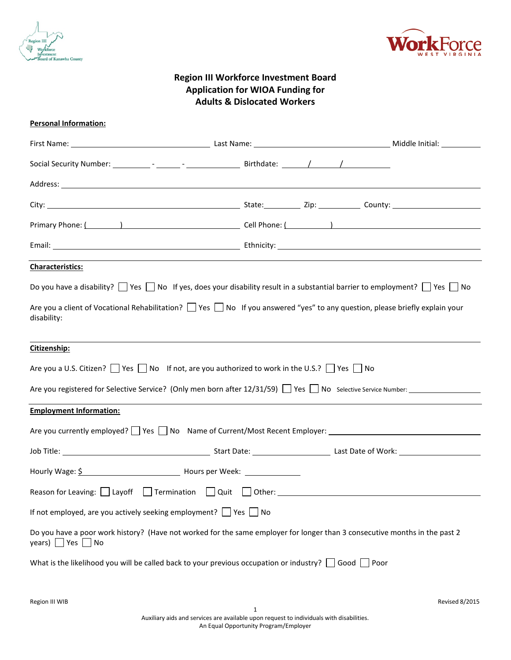



# **Region III Workforce Investment Board Application for WIOA Funding for Adults & Dislocated Workers**

| <b>Personal Information:</b>                                                                                                                                                                                                                                                                             |  |  |
|----------------------------------------------------------------------------------------------------------------------------------------------------------------------------------------------------------------------------------------------------------------------------------------------------------|--|--|
|                                                                                                                                                                                                                                                                                                          |  |  |
|                                                                                                                                                                                                                                                                                                          |  |  |
|                                                                                                                                                                                                                                                                                                          |  |  |
|                                                                                                                                                                                                                                                                                                          |  |  |
| Primary Phone: ( ) [ Cell Phone: ( ) [ Cell Phone: ( ) [ Cell Phone: ( ) ] [ Cell Phone: ( ) ] [ Cell Phone: ( ) [ $\sim$ 10] $\sim$ [ $\sim$ 10] $\sim$ [ $\sim$ 10] $\sim$ [ $\sim$ 10] $\sim$ [ $\sim$ 10] $\sim$ [ $\sim$ 10] $\sim$ [ $\sim$ 10] $\$                                                |  |  |
|                                                                                                                                                                                                                                                                                                          |  |  |
| <b>Characteristics:</b>                                                                                                                                                                                                                                                                                  |  |  |
| Do you have a disability? $\Box$ Yes $\Box$ No If yes, does your disability result in a substantial barrier to employment? $\Box$ Yes $\Box$ No<br>Are you a client of Vocational Rehabilitation? $\Box$ Yes $\Box$ No If you answered "yes" to any question, please briefly explain your<br>disability: |  |  |
| Citizenship:                                                                                                                                                                                                                                                                                             |  |  |
| Are you a U.S. Citizen? See Ref No If not, are you authorized to work in the U.S.? See Ref No                                                                                                                                                                                                            |  |  |
| Are you registered for Selective Service? (Only men born after $12/31/59$ ) Yes No Selective Service Number:                                                                                                                                                                                             |  |  |
| <b>Employment Information:</b>                                                                                                                                                                                                                                                                           |  |  |
| Are you currently employed? 1 Yes 1 No Name of Current/Most Recent Employer: 1 2000 2000 2000 2000 2000 2000 20                                                                                                                                                                                          |  |  |
| Job Title: 1000 Title: 2000 Communication Communication Communication Communication Communication Communication                                                                                                                                                                                          |  |  |
| Hourly Wage: \$                                                                                                                                                                                                                                                                                          |  |  |
| Reason for Leaving: Layoff Termination Quit Other:                                                                                                                                                                                                                                                       |  |  |
| If not employed, are you actively seeking employment? $\Box$ Yes $\Box$ No                                                                                                                                                                                                                               |  |  |
| Do you have a poor work history? (Have not worked for the same employer for longer than 3 consecutive months in the past 2<br>years) $\blacksquare$ Yes $\blacksquare$ No                                                                                                                                |  |  |
| What is the likelihood you will be called back to your previous occupation or industry? $\Box$ Good $\Box$ Poor                                                                                                                                                                                          |  |  |
|                                                                                                                                                                                                                                                                                                          |  |  |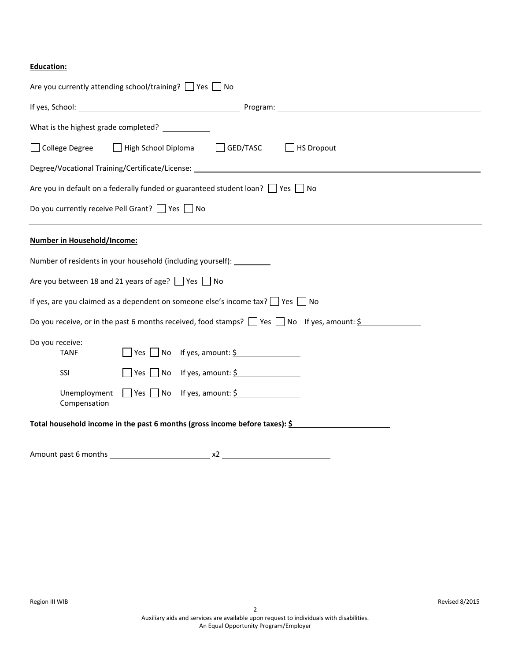| <b>Education:</b>                                                                                                 |
|-------------------------------------------------------------------------------------------------------------------|
| Are you currently attending school/training? $\Box$ Yes $\Box$ No                                                 |
|                                                                                                                   |
| What is the highest grade completed? ____________                                                                 |
| High School Diploma<br>$\Box$ HS Dropout<br>□ College Degree<br>GED/TASC<br>$\mathbf{L}$                          |
| Degree/Vocational Training/Certificate/License: ________________________________                                  |
| Are you in default on a federally funded or guaranteed student loan? $\Box$ Yes $\Box$ No                         |
| Do you currently receive Pell Grant?   Yes   No                                                                   |
| <b>Number in Household/Income:</b>                                                                                |
| Number of residents in your household (including yourself):                                                       |
| Are you between 18 and 21 years of age? $\Box$ Yes $\Box$ No                                                      |
| If yes, are you claimed as a dependent on someone else's income tax? $\Box$ Yes $\Box$ No                         |
| Do you receive, or in the past 6 months received, food stamps? $\Box$ Yes $\Box$ No If yes, amount: $\frac{6}{5}$ |
| Do you receive:<br>$\Box$ Yes $\Box$ No If yes, amount: $\frac{1}{2}$<br><b>TANF</b>                              |
| $\Box$ Yes $\Box$ No If yes, amount: $\frac{6}{5}$<br>SSI                                                         |
| $\Box$ Yes $\Box$ No If yes, amount: $\frac{6}{5}$<br>Unemployment<br>Compensation                                |
| Total household income in the past 6 months (gross income before taxes): $\frac{5}{2}$                            |
|                                                                                                                   |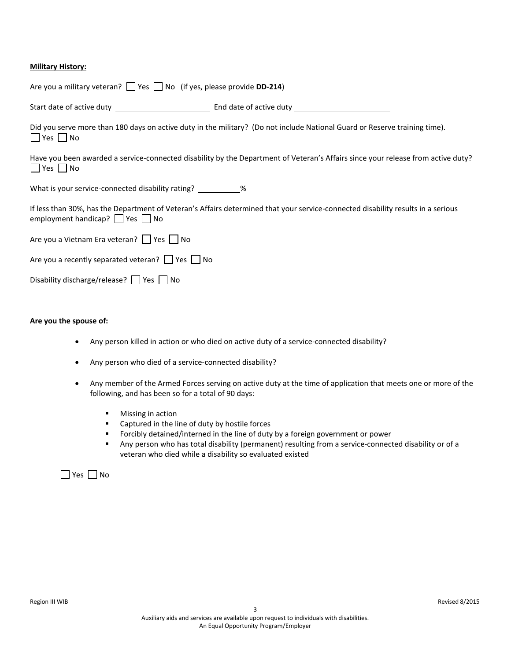| <b>Military History:</b>                                                                                                                                                      |
|-------------------------------------------------------------------------------------------------------------------------------------------------------------------------------|
| Are you a military veteran? $\Box$ Yes $\Box$ No (if yes, please provide <b>DD-214</b> )                                                                                      |
|                                                                                                                                                                               |
| Did you serve more than 180 days on active duty in the military? (Do not include National Guard or Reserve training time).<br>$ $   Yes     No                                |
| Have you been awarded a service-connected disability by the Department of Veteran's Affairs since your release from active duty?<br>Yes No                                    |
| What is your service-connected disability rating? %                                                                                                                           |
| If less than 30%, has the Department of Veteran's Affairs determined that your service-connected disability results in a serious<br>employment handicap? $\Box$ Yes $\Box$ No |
| Are you a Vietnam Era veteran?     Yes     No                                                                                                                                 |
| Are you a recently separated veteran? $\Box$ Yes $\Box$ No                                                                                                                    |
| Disability discharge/release?   Yes   No                                                                                                                                      |

# **Are you the spouse of:**

- Any person killed in action or who died on active duty of a service-connected disability?
- Any person who died of a service-connected disability?
- Any member of the Armed Forces serving on active duty at the time of application that meets one or more of the following, and has been so for a total of 90 days:
	- **Missing in action**
	- Captured in the line of duty by hostile forces
	- Forcibly detained/interned in the line of duty by a foreign government or power
	- Any person who has total disability (permanent) resulting from a service-connected disability or of a veteran who died while a disability so evaluated existed

 $\Box$  Yes  $\Box$  No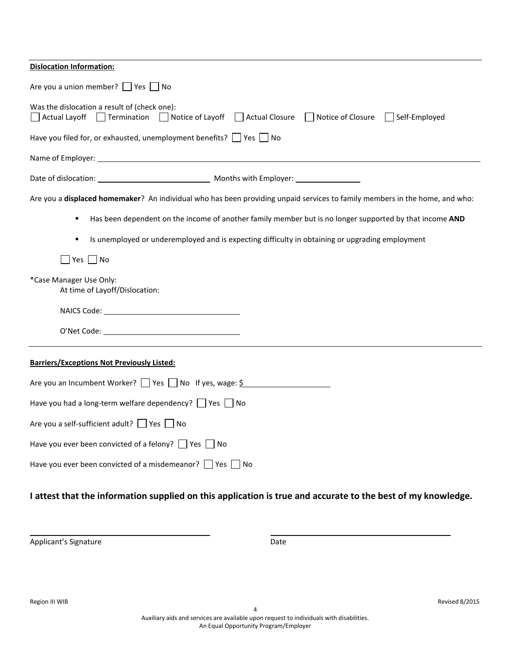| <b>Dislocation Information:</b>                                                                                                                                                                                                |
|--------------------------------------------------------------------------------------------------------------------------------------------------------------------------------------------------------------------------------|
| Are you a union member? Yes No                                                                                                                                                                                                 |
| Was the dislocation a result of (check one):<br>Actual Layoff Termination<br>Notice of Layoff Actual Closure Notice of Closure Self-Employed                                                                                   |
| Have you filed for, or exhausted, unemployment benefits? $\Box$ Yes $\Box$ No                                                                                                                                                  |
| Name of Employer: Name of Secondary and Secondary and Secondary and Secondary and Secondary and Secondary and Secondary and Secondary and Secondary and Secondary and Secondary and Secondary and Secondary and Secondary and  |
|                                                                                                                                                                                                                                |
| Are you a displaced homemaker? An individual who has been providing unpaid services to family members in the home, and who:                                                                                                    |
| Has been dependent on the income of another family member but is no longer supported by that income AND                                                                                                                        |
| Is unemployed or underemployed and is expecting difficulty in obtaining or upgrading employment<br>٠                                                                                                                           |
| $Yes \n\quad No$                                                                                                                                                                                                               |
| *Case Manager Use Only:<br>At time of Layoff/Dislocation:                                                                                                                                                                      |
| NAICS Code: The Committee of the Contract of the Contract of the Contract of the Contract of the Contract of the Contract of the Contract of the Contract of the Contract of the Contract of the Contract of the Contract of t |
|                                                                                                                                                                                                                                |
| <b>Barriers/Exceptions Not Previously Listed:</b>                                                                                                                                                                              |
| Are you an Incumbent Worker? $\Box$ Yes $\Box$ No If yes, wage: $\frac{1}{2}$                                                                                                                                                  |
| Have you had a long-term welfare dependency? $\Box$ Yes $\Box$ No                                                                                                                                                              |
| Are you a self-sufficient adult? Yes No                                                                                                                                                                                        |
| Have you ever been convicted of a felony? $\Box$ Yes $\Box$ No                                                                                                                                                                 |
| Have you ever been convicted of a misdemeanor? Ves<br>l No                                                                                                                                                                     |

# **I attest that the information supplied on this application is true and accurate to the best of my knowledge.**

Applicant's Signature Date Date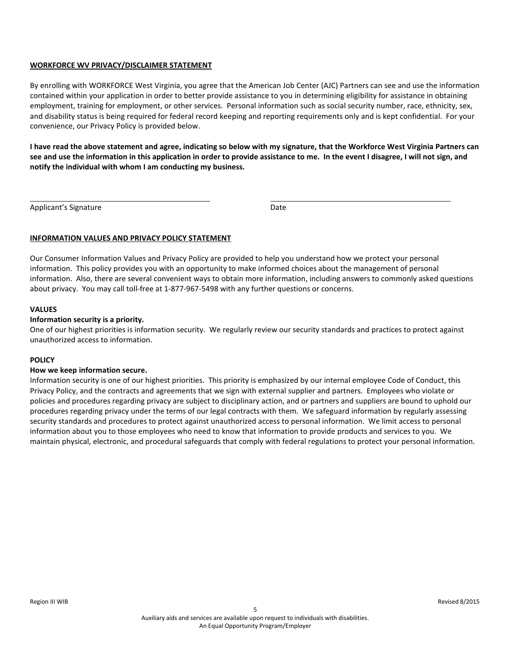# **WORKFORCE WV PRIVACY/DISCLAIMER STATEMENT**

By enrolling with WORKFORCE West Virginia, you agree that the American Job Center (AJC) Partners can see and use the information contained within your application in order to better provide assistance to you in determining eligibility for assistance in obtaining employment, training for employment, or other services. Personal information such as social security number, race, ethnicity, sex, and disability status is being required for federal record keeping and reporting requirements only and is kept confidential. For your convenience, our Privacy Policy is provided below.

**I have read the above statement and agree, indicating so below with my signature, that the Workforce West Virginia Partners can see and use the information in this application in order to provide assistance to me. In the event I disagree, I will not sign, and notify the individual with whom I am conducting my business.**

Applicant's Signature **Date** 

# **INFORMATION VALUES AND PRIVACY POLICY STATEMENT**

Our Consumer Information Values and Privacy Policy are provided to help you understand how we protect your personal information. This policy provides you with an opportunity to make informed choices about the management of personal information. Also, there are several convenient ways to obtain more information, including answers to commonly asked questions about privacy. You may call toll-free at 1-877-967-5498 with any further questions or concerns.

# **VALUES**

# **Information security is a priority.**

One of our highest priorities is information security. We regularly review our security standards and practices to protect against unauthorized access to information.

# **POLICY**

# **How we keep information secure.**

Information security is one of our highest priorities. This priority is emphasized by our internal employee Code of Conduct, this Privacy Policy, and the contracts and agreements that we sign with external supplier and partners. Employees who violate or policies and procedures regarding privacy are subject to disciplinary action, and or partners and suppliers are bound to uphold our procedures regarding privacy under the terms of our legal contracts with them. We safeguard information by regularly assessing security standards and procedures to protect against unauthorized access to personal information. We limit access to personal information about you to those employees who need to know that information to provide products and services to you. We maintain physical, electronic, and procedural safeguards that comply with federal regulations to protect your personal information.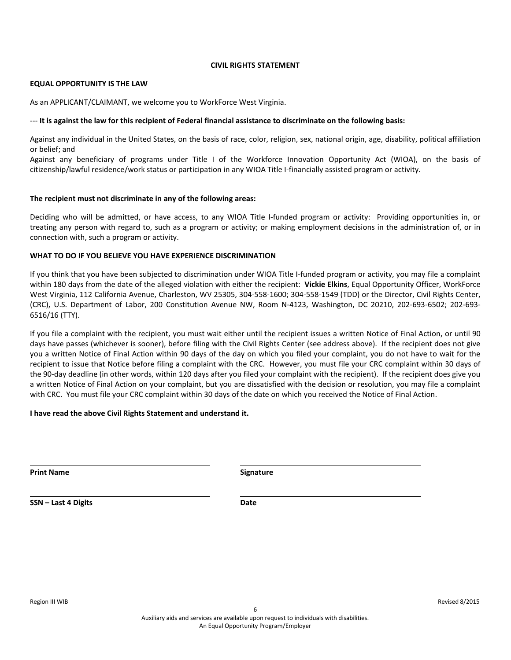# **CIVIL RIGHTS STATEMENT**

#### **EQUAL OPPORTUNITY IS THE LAW**

As an APPLICANT/CLAIMANT, we welcome you to WorkForce West Virginia.

#### --- **It is against the law for this recipient of Federal financial assistance to discriminate on the following basis:**

Against any individual in the United States, on the basis of race, color, religion, sex, national origin, age, disability, political affiliation or belief; and

Against any beneficiary of programs under Title I of the Workforce Innovation Opportunity Act (WIOA), on the basis of citizenship/lawful residence/work status or participation in any WIOA Title I-financially assisted program or activity.

#### **The recipient must not discriminate in any of the following areas:**

Deciding who will be admitted, or have access, to any WIOA Title I-funded program or activity: Providing opportunities in, or treating any person with regard to, such as a program or activity; or making employment decisions in the administration of, or in connection with, such a program or activity.

# **WHAT TO DO IF YOU BELIEVE YOU HAVE EXPERIENCE DISCRIMINATION**

If you think that you have been subjected to discrimination under WIOA Title I-funded program or activity, you may file a complaint within 180 days from the date of the alleged violation with either the recipient: **Vickie Elkins**, Equal Opportunity Officer, WorkForce West Virginia, 112 California Avenue, Charleston, WV 25305, 304-558-1600; 304-558-1549 (TDD) or the Director, Civil Rights Center, (CRC), U.S. Department of Labor, 200 Constitution Avenue NW, Room N-4123, Washington, DC 20210, 202-693-6502; 202-693- 6516/16 (TTY).

If you file a complaint with the recipient, you must wait either until the recipient issues a written Notice of Final Action, or until 90 days have passes (whichever is sooner), before filing with the Civil Rights Center (see address above). If the recipient does not give you a written Notice of Final Action within 90 days of the day on which you filed your complaint, you do not have to wait for the recipient to issue that Notice before filing a complaint with the CRC. However, you must file your CRC complaint within 30 days of the 90-day deadline (in other words, within 120 days after you filed your complaint with the recipient). If the recipient does give you a written Notice of Final Action on your complaint, but you are dissatisfied with the decision or resolution, you may file a complaint with CRC. You must file your CRC complaint within 30 days of the date on which you received the Notice of Final Action.

# **I have read the above Civil Rights Statement and understand it.**

**Print Name Signature** 

**SSN – Last 4 Digits Date**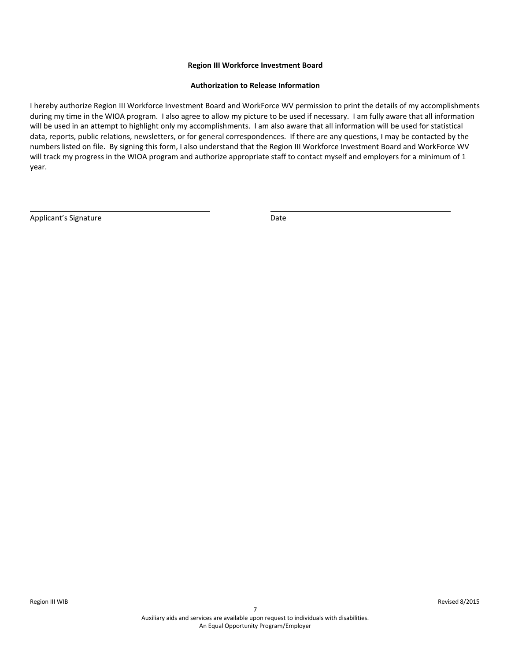# **Region III Workforce Investment Board**

#### **Authorization to Release Information**

I hereby authorize Region III Workforce Investment Board and WorkForce WV permission to print the details of my accomplishments during my time in the WIOA program. I also agree to allow my picture to be used if necessary. I am fully aware that all information will be used in an attempt to highlight only my accomplishments. I am also aware that all information will be used for statistical data, reports, public relations, newsletters, or for general correspondences. If there are any questions, I may be contacted by the numbers listed on file. By signing this form, I also understand that the Region III Workforce Investment Board and WorkForce WV will track my progress in the WIOA program and authorize appropriate staff to contact myself and employers for a minimum of 1 year.

Applicant's Signature Date Date Applicant's Signature Date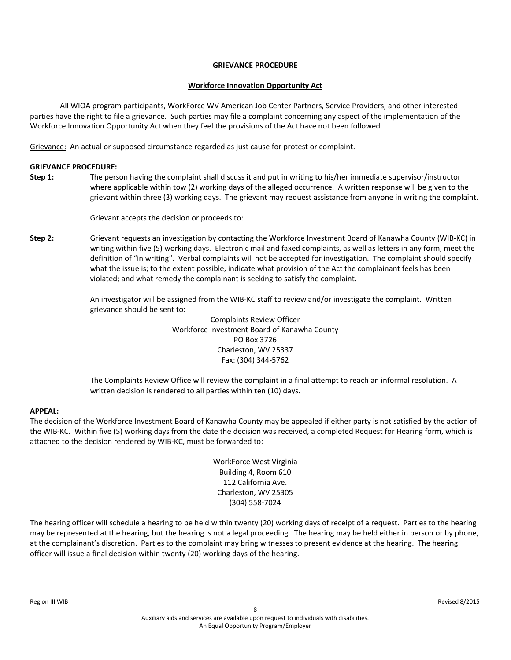# **GRIEVANCE PROCEDURE**

# **Workforce Innovation Opportunity Act**

All WIOA program participants, WorkForce WV American Job Center Partners, Service Providers, and other interested parties have the right to file a grievance. Such parties may file a complaint concerning any aspect of the implementation of the Workforce Innovation Opportunity Act when they feel the provisions of the Act have not been followed.

Grievance: An actual or supposed circumstance regarded as just cause for protest or complaint.

# **GRIEVANCE PROCEDURE:**

**Step 1:** The person having the complaint shall discuss it and put in writing to his/her immediate supervisor/instructor where applicable within tow (2) working days of the alleged occurrence. A written response will be given to the grievant within three (3) working days. The grievant may request assistance from anyone in writing the complaint.

Grievant accepts the decision or proceeds to:

**Step 2:** Grievant requests an investigation by contacting the Workforce Investment Board of Kanawha County (WIB-KC) in writing within five (5) working days. Electronic mail and faxed complaints, as well as letters in any form, meet the definition of "in writing". Verbal complaints will not be accepted for investigation. The complaint should specify what the issue is; to the extent possible, indicate what provision of the Act the complainant feels has been violated; and what remedy the complainant is seeking to satisfy the complaint.

> An investigator will be assigned from the WIB-KC staff to review and/or investigate the complaint. Written grievance should be sent to:

> > Complaints Review Officer Workforce Investment Board of Kanawha County PO Box 3726 Charleston, WV 25337 Fax: (304) 344-5762

The Complaints Review Office will review the complaint in a final attempt to reach an informal resolution. A written decision is rendered to all parties within ten (10) days.

# **APPEAL:**

The decision of the Workforce Investment Board of Kanawha County may be appealed if either party is not satisfied by the action of the WIB-KC. Within five (5) working days from the date the decision was received, a completed Request for Hearing form, which is attached to the decision rendered by WIB-KC, must be forwarded to:

> WorkForce West Virginia Building 4, Room 610 112 California Ave. Charleston, WV 25305 (304) 558-7024

The hearing officer will schedule a hearing to be held within twenty (20) working days of receipt of a request. Parties to the hearing may be represented at the hearing, but the hearing is not a legal proceeding. The hearing may be held either in person or by phone, at the complainant's discretion. Parties to the complaint may bring witnesses to present evidence at the hearing. The hearing officer will issue a final decision within twenty (20) working days of the hearing.